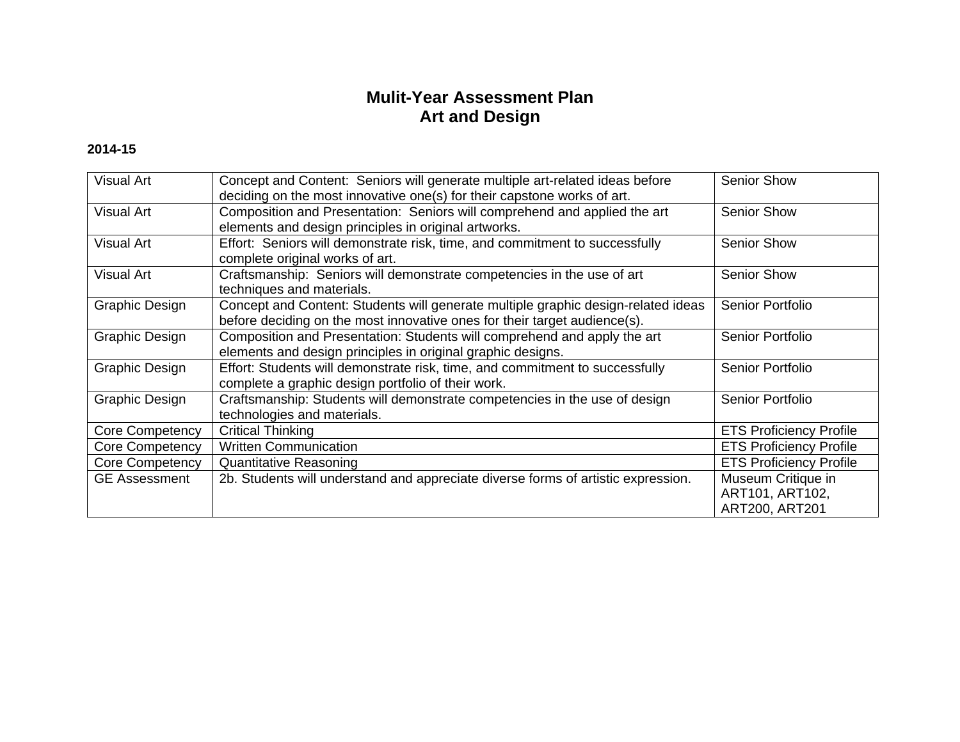# **Mulit-Year Assessment Plan Art and Design**

#### **2014-15**

| Visual Art             | Concept and Content: Seniors will generate multiple art-related ideas before<br>deciding on the most innovative one(s) for their capstone works of art.        | <b>Senior Show</b>             |
|------------------------|----------------------------------------------------------------------------------------------------------------------------------------------------------------|--------------------------------|
| Visual Art             | Composition and Presentation: Seniors will comprehend and applied the art<br>elements and design principles in original artworks.                              | <b>Senior Show</b>             |
| Visual Art             | Effort: Seniors will demonstrate risk, time, and commitment to successfully<br>complete original works of art.                                                 | <b>Senior Show</b>             |
| Visual Art             | Craftsmanship: Seniors will demonstrate competencies in the use of art<br>techniques and materials.                                                            | <b>Senior Show</b>             |
| <b>Graphic Design</b>  | Concept and Content: Students will generate multiple graphic design-related ideas<br>before deciding on the most innovative ones for their target audience(s). | Senior Portfolio               |
| Graphic Design         | Composition and Presentation: Students will comprehend and apply the art<br>elements and design principles in original graphic designs.                        | Senior Portfolio               |
| Graphic Design         | Effort: Students will demonstrate risk, time, and commitment to successfully<br>complete a graphic design portfolio of their work.                             | Senior Portfolio               |
| <b>Graphic Design</b>  | Craftsmanship: Students will demonstrate competencies in the use of design<br>technologies and materials.                                                      | Senior Portfolio               |
| <b>Core Competency</b> | <b>Critical Thinking</b>                                                                                                                                       | <b>ETS Proficiency Profile</b> |
| <b>Core Competency</b> | <b>Written Communication</b>                                                                                                                                   | <b>ETS Proficiency Profile</b> |
| <b>Core Competency</b> | <b>Quantitative Reasoning</b>                                                                                                                                  | <b>ETS Proficiency Profile</b> |
| <b>GE Assessment</b>   | 2b. Students will understand and appreciate diverse forms of artistic expression.                                                                              | Museum Critique in             |
|                        |                                                                                                                                                                | ART101, ART102,                |
|                        |                                                                                                                                                                | ART200, ART201                 |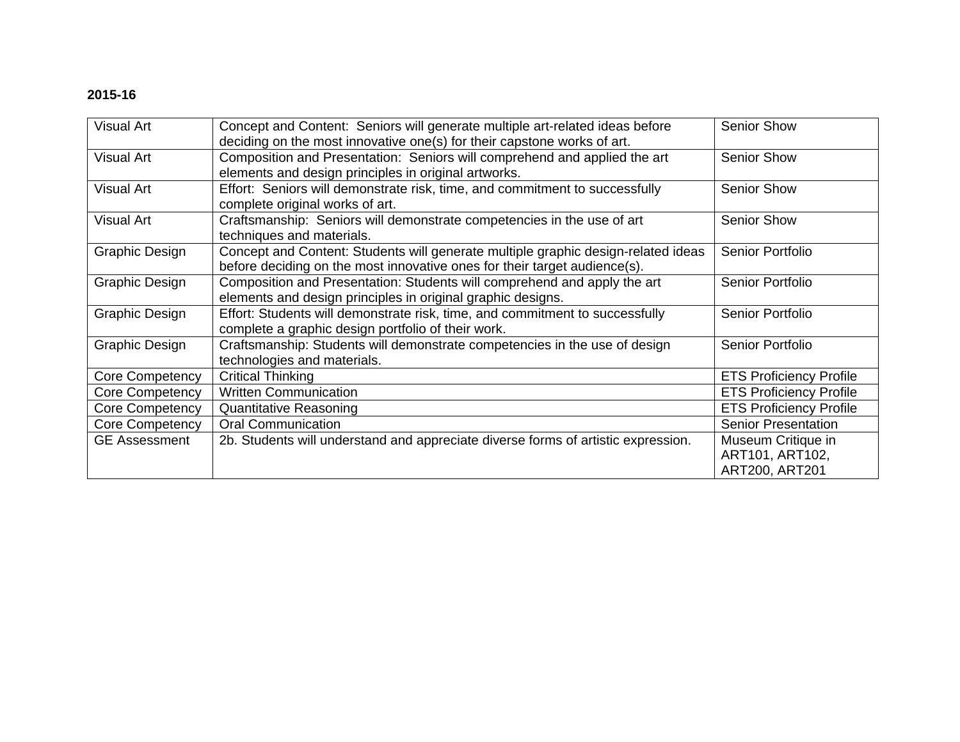### **2015-16**

| <b>Visual Art</b>      | Concept and Content: Seniors will generate multiple art-related ideas before<br>deciding on the most innovative one(s) for their capstone works of art.        | <b>Senior Show</b>                                      |
|------------------------|----------------------------------------------------------------------------------------------------------------------------------------------------------------|---------------------------------------------------------|
| Visual Art             | Composition and Presentation: Seniors will comprehend and applied the art<br>elements and design principles in original artworks.                              | <b>Senior Show</b>                                      |
| <b>Visual Art</b>      | Effort: Seniors will demonstrate risk, time, and commitment to successfully<br>complete original works of art.                                                 | <b>Senior Show</b>                                      |
| <b>Visual Art</b>      | Craftsmanship: Seniors will demonstrate competencies in the use of art<br>techniques and materials.                                                            | <b>Senior Show</b>                                      |
| <b>Graphic Design</b>  | Concept and Content: Students will generate multiple graphic design-related ideas<br>before deciding on the most innovative ones for their target audience(s). | Senior Portfolio                                        |
| <b>Graphic Design</b>  | Composition and Presentation: Students will comprehend and apply the art<br>elements and design principles in original graphic designs.                        | Senior Portfolio                                        |
| <b>Graphic Design</b>  | Effort: Students will demonstrate risk, time, and commitment to successfully<br>complete a graphic design portfolio of their work.                             | Senior Portfolio                                        |
| <b>Graphic Design</b>  | Craftsmanship: Students will demonstrate competencies in the use of design<br>technologies and materials.                                                      | Senior Portfolio                                        |
| Core Competency        | <b>Critical Thinking</b>                                                                                                                                       | <b>ETS Proficiency Profile</b>                          |
| <b>Core Competency</b> | <b>Written Communication</b>                                                                                                                                   | <b>ETS Proficiency Profile</b>                          |
| <b>Core Competency</b> | <b>Quantitative Reasoning</b>                                                                                                                                  | <b>ETS Proficiency Profile</b>                          |
| <b>Core Competency</b> | <b>Oral Communication</b>                                                                                                                                      | <b>Senior Presentation</b>                              |
| <b>GE Assessment</b>   | 2b. Students will understand and appreciate diverse forms of artistic expression.                                                                              | Museum Critique in<br>ART101, ART102,<br>ART200, ART201 |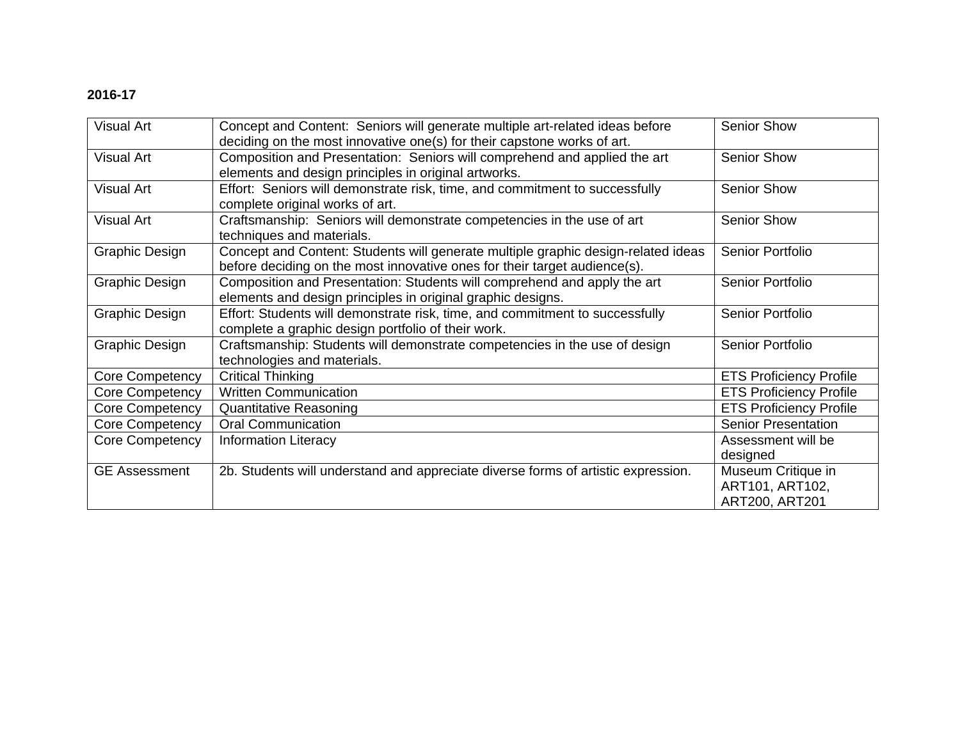### **2016-17**

| <b>Visual Art</b>      | Concept and Content: Seniors will generate multiple art-related ideas before<br>deciding on the most innovative one(s) for their capstone works of art.        | <b>Senior Show</b>                                      |
|------------------------|----------------------------------------------------------------------------------------------------------------------------------------------------------------|---------------------------------------------------------|
| Visual Art             | Composition and Presentation: Seniors will comprehend and applied the art<br>elements and design principles in original artworks.                              | <b>Senior Show</b>                                      |
| Visual Art             | Effort: Seniors will demonstrate risk, time, and commitment to successfully<br>complete original works of art.                                                 | <b>Senior Show</b>                                      |
| <b>Visual Art</b>      | Craftsmanship: Seniors will demonstrate competencies in the use of art<br>techniques and materials.                                                            | <b>Senior Show</b>                                      |
| Graphic Design         | Concept and Content: Students will generate multiple graphic design-related ideas<br>before deciding on the most innovative ones for their target audience(s). | Senior Portfolio                                        |
| <b>Graphic Design</b>  | Composition and Presentation: Students will comprehend and apply the art<br>elements and design principles in original graphic designs.                        | Senior Portfolio                                        |
| Graphic Design         | Effort: Students will demonstrate risk, time, and commitment to successfully<br>complete a graphic design portfolio of their work.                             | Senior Portfolio                                        |
| Graphic Design         | Craftsmanship: Students will demonstrate competencies in the use of design<br>technologies and materials.                                                      | Senior Portfolio                                        |
| <b>Core Competency</b> | Critical Thinking                                                                                                                                              | <b>ETS Proficiency Profile</b>                          |
| Core Competency        | <b>Written Communication</b>                                                                                                                                   | <b>ETS Proficiency Profile</b>                          |
| <b>Core Competency</b> | <b>Quantitative Reasoning</b>                                                                                                                                  | <b>ETS Proficiency Profile</b>                          |
| <b>Core Competency</b> | <b>Oral Communication</b>                                                                                                                                      | <b>Senior Presentation</b>                              |
| <b>Core Competency</b> | <b>Information Literacy</b>                                                                                                                                    | Assessment will be<br>designed                          |
| <b>GE Assessment</b>   | 2b. Students will understand and appreciate diverse forms of artistic expression.                                                                              | Museum Critique in<br>ART101, ART102,<br>ART200, ART201 |